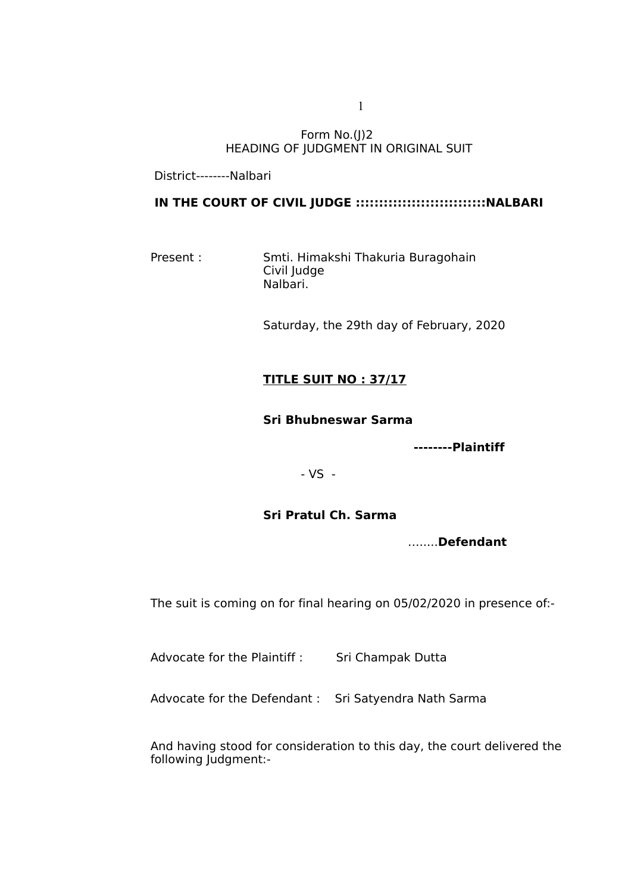Form No.(J)2 HEADING OF JUDGMENT IN ORIGINAL SUIT

District--------Nalbari

# **IN THE COURT OF CIVIL JUDGE ::::::::::::::::::::::::::::NALBARI**

Present : Smti. Himakshi Thakuria Buragohain Civil Judge Nalbari.

Saturday, the 29th day of February, 2020

# **TITLE SUIT NO : 37/17**

#### **Sri Bhubneswar Sarma**

**--------Plaintiff** 

- VS -

## **Sri Pratul Ch. Sarma**

….....**Defendant**

The suit is coming on for final hearing on 05/02/2020 in presence of:-

Advocate for the Plaintiff : Sri Champak Dutta

Advocate for the Defendant : Sri Satyendra Nath Sarma

And having stood for consideration to this day, the court delivered the following Judgment:-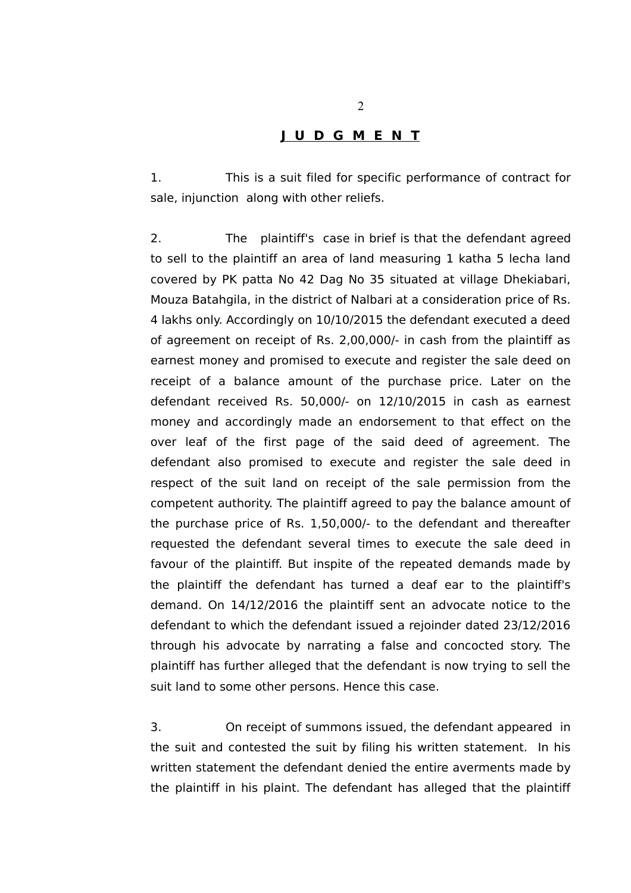# **J U D G M E N T**

1. This is a suit filed for specific performance of contract for sale, injunction along with other reliefs.

2. The plaintiff's case in brief is that the defendant agreed to sell to the plaintiff an area of land measuring 1 katha 5 lecha land covered by PK patta No 42 Dag No 35 situated at village Dhekiabari, Mouza Batahgila, in the district of Nalbari at a consideration price of Rs. 4 lakhs only. Accordingly on 10/10/2015 the defendant executed a deed of agreement on receipt of Rs. 2,00,000/- in cash from the plaintiff as earnest money and promised to execute and register the sale deed on receipt of a balance amount of the purchase price. Later on the defendant received Rs. 50,000/- on 12/10/2015 in cash as earnest money and accordingly made an endorsement to that effect on the over leaf of the first page of the said deed of agreement. The defendant also promised to execute and register the sale deed in respect of the suit land on receipt of the sale permission from the competent authority. The plaintiff agreed to pay the balance amount of the purchase price of Rs. 1,50,000/- to the defendant and thereafter requested the defendant several times to execute the sale deed in favour of the plaintiff. But inspite of the repeated demands made by the plaintiff the defendant has turned a deaf ear to the plaintiff's demand. On 14/12/2016 the plaintiff sent an advocate notice to the defendant to which the defendant issued a rejoinder dated 23/12/2016 through his advocate by narrating a false and concocted story. The plaintiff has further alleged that the defendant is now trying to sell the suit land to some other persons. Hence this case.

3. On receipt of summons issued, the defendant appeared in the suit and contested the suit by filing his written statement. In his written statement the defendant denied the entire averments made by the plaintiff in his plaint. The defendant has alleged that the plaintiff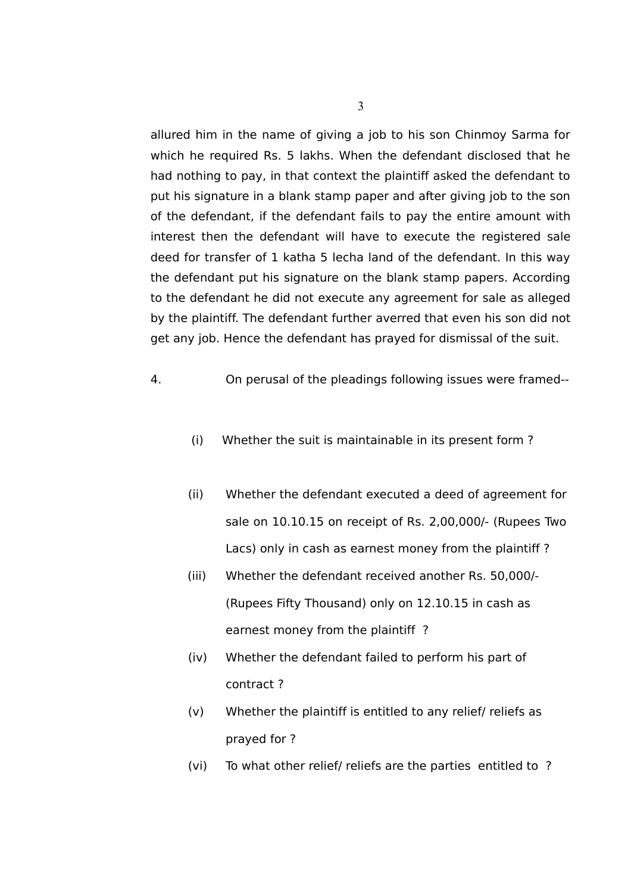allured him in the name of giving a job to his son Chinmoy Sarma for which he required Rs. 5 lakhs. When the defendant disclosed that he had nothing to pay, in that context the plaintiff asked the defendant to put his signature in a blank stamp paper and after giving job to the son of the defendant, if the defendant fails to pay the entire amount with interest then the defendant will have to execute the registered sale deed for transfer of 1 katha 5 lecha land of the defendant. In this way the defendant put his signature on the blank stamp papers. According to the defendant he did not execute any agreement for sale as alleged by the plaintiff. The defendant further averred that even his son did not get any job. Hence the defendant has prayed for dismissal of the suit.

- 4. On perusal of the pleadings following issues were framed--
	- (i) Whether the suit is maintainable in its present form ?
	- (ii) Whether the defendant executed a deed of agreement for sale on 10.10.15 on receipt of Rs. 2,00,000/- (Rupees Two Lacs) only in cash as earnest money from the plaintiff ?
	- (iii) Whether the defendant received another Rs. 50,000/- (Rupees Fifty Thousand) only on 12.10.15 in cash as earnest money from the plaintiff ?
	- (iv) Whether the defendant failed to perform his part of contract ?
	- (v) Whether the plaintiff is entitled to any relief/ reliefs as prayed for ?
	- (vi) To what other relief/ reliefs are the parties entitled to ?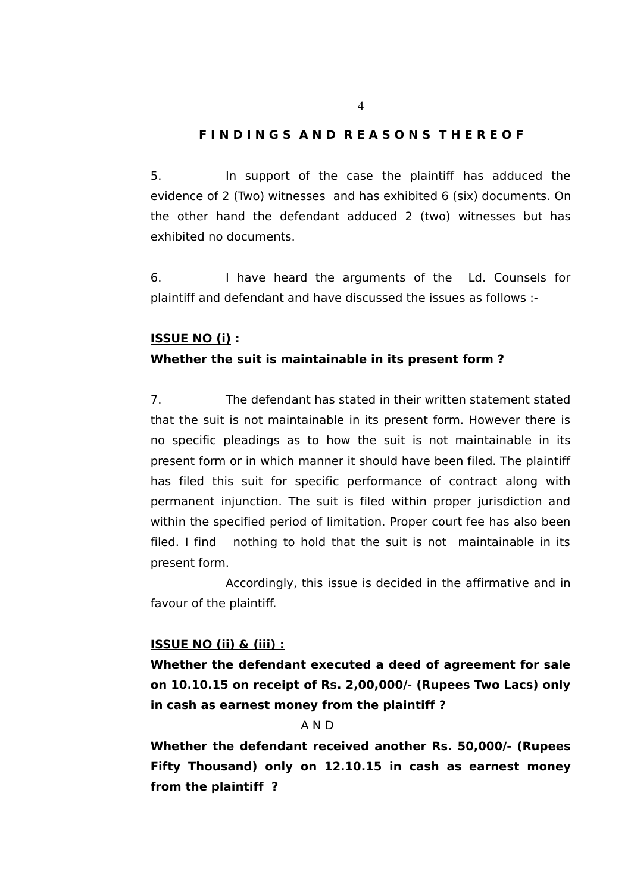# **F I N D I N G S A N D R E A S O N S T H E R E O F**

5. In support of the case the plaintiff has adduced the evidence of 2 (Two) witnesses and has exhibited 6 (six) documents. On the other hand the defendant adduced 2 (two) witnesses but has exhibited no documents.

6. I have heard the arguments of the Ld. Counsels for plaintiff and defendant and have discussed the issues as follows :-

#### **ISSUE NO (i) :**

#### **Whether the suit is maintainable in its present form ?**

7. The defendant has stated in their written statement stated that the suit is not maintainable in its present form. However there is no specific pleadings as to how the suit is not maintainable in its present form or in which manner it should have been filed. The plaintiff has filed this suit for specific performance of contract along with permanent injunction. The suit is filed within proper jurisdiction and within the specified period of limitation. Proper court fee has also been filed. I find nothing to hold that the suit is not maintainable in its present form.

Accordingly, this issue is decided in the affirmative and in favour of the plaintiff.

# **ISSUE NO (ii) & (iii) :**

**Whether the defendant executed a deed of agreement for sale on 10.10.15 on receipt of Rs. 2,00,000/- (Rupees Two Lacs) only in cash as earnest money from the plaintiff ?**

# A N D

**Whether the defendant received another Rs. 50,000/- (Rupees Fifty Thousand) only on 12.10.15 in cash as earnest money from the plaintiff ?**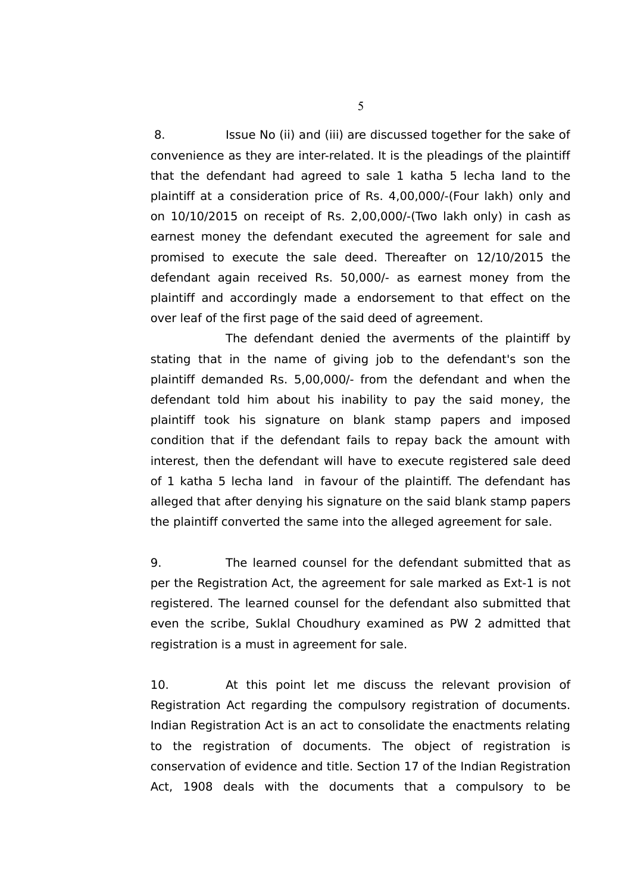8. Issue No (ii) and (iii) are discussed together for the sake of convenience as they are inter-related. It is the pleadings of the plaintiff that the defendant had agreed to sale 1 katha 5 lecha land to the plaintiff at a consideration price of Rs. 4,00,000/-(Four lakh) only and on 10/10/2015 on receipt of Rs. 2,00,000/-(Two lakh only) in cash as earnest money the defendant executed the agreement for sale and promised to execute the sale deed. Thereafter on 12/10/2015 the defendant again received Rs. 50,000/- as earnest money from the plaintiff and accordingly made a endorsement to that effect on the over leaf of the first page of the said deed of agreement.

The defendant denied the averments of the plaintiff by stating that in the name of giving job to the defendant's son the plaintiff demanded Rs. 5,00,000/- from the defendant and when the defendant told him about his inability to pay the said money, the plaintiff took his signature on blank stamp papers and imposed condition that if the defendant fails to repay back the amount with interest, then the defendant will have to execute registered sale deed of 1 katha 5 lecha land in favour of the plaintiff. The defendant has alleged that after denying his signature on the said blank stamp papers the plaintiff converted the same into the alleged agreement for sale.

9. The learned counsel for the defendant submitted that as per the Registration Act, the agreement for sale marked as Ext-1 is not registered. The learned counsel for the defendant also submitted that even the scribe, Suklal Choudhury examined as PW 2 admitted that registration is a must in agreement for sale.

10. At this point let me discuss the relevant provision of Registration Act regarding the compulsory registration of documents. Indian Registration Act is an act to consolidate the enactments relating to the registration of documents. The object of registration is conservation of evidence and title. Section 17 of the Indian Registration Act, 1908 deals with the documents that a compulsory to be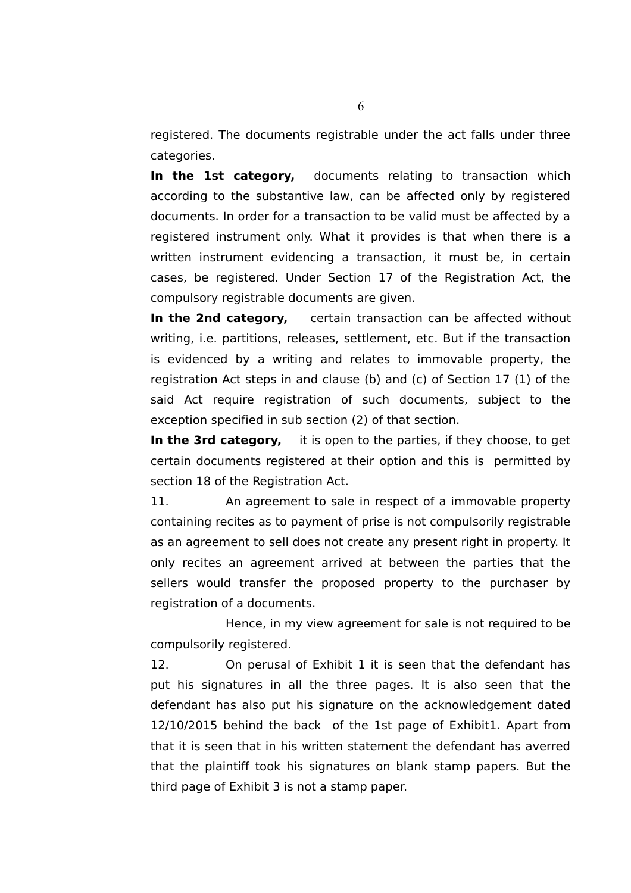registered. The documents registrable under the act falls under three categories.

**In the 1st category,** documents relating to transaction which according to the substantive law, can be affected only by registered documents. In order for a transaction to be valid must be affected by a registered instrument only. What it provides is that when there is a written instrument evidencing a transaction, it must be, in certain cases, be registered. Under Section 17 of the Registration Act, the compulsory registrable documents are given.

**In the 2nd category,** certain transaction can be affected without writing, i.e. partitions, releases, settlement, etc. But if the transaction is evidenced by a writing and relates to immovable property, the registration Act steps in and clause (b) and (c) of Section 17 (1) of the said Act require registration of such documents, subject to the exception specified in sub section (2) of that section.

**In the 3rd category,** it is open to the parties, if they choose, to get certain documents registered at their option and this is permitted by section 18 of the Registration Act.

11. An agreement to sale in respect of a immovable property containing recites as to payment of prise is not compulsorily registrable as an agreement to sell does not create any present right in property. It only recites an agreement arrived at between the parties that the sellers would transfer the proposed property to the purchaser by registration of a documents.

Hence, in my view agreement for sale is not required to be compulsorily registered.

12. On perusal of Exhibit 1 it is seen that the defendant has put his signatures in all the three pages. It is also seen that the defendant has also put his signature on the acknowledgement dated 12/10/2015 behind the back of the 1st page of Exhibit1. Apart from that it is seen that in his written statement the defendant has averred that the plaintiff took his signatures on blank stamp papers. But the third page of Exhibit 3 is not a stamp paper.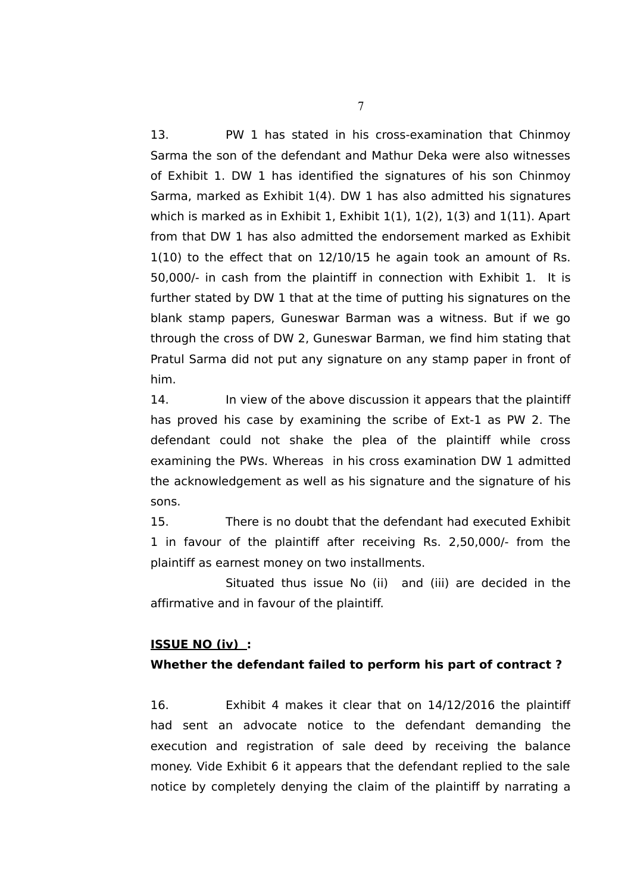13. PW 1 has stated in his cross-examination that Chinmoy Sarma the son of the defendant and Mathur Deka were also witnesses of Exhibit 1. DW 1 has identified the signatures of his son Chinmoy Sarma, marked as Exhibit 1(4). DW 1 has also admitted his signatures which is marked as in Exhibit 1, Exhibit 1(1), 1(2), 1(3) and 1(11). Apart from that DW 1 has also admitted the endorsement marked as Exhibit 1(10) to the effect that on 12/10/15 he again took an amount of Rs. 50,000/- in cash from the plaintiff in connection with Exhibit 1. It is further stated by DW 1 that at the time of putting his signatures on the blank stamp papers, Guneswar Barman was a witness. But if we go through the cross of DW 2, Guneswar Barman, we find him stating that Pratul Sarma did not put any signature on any stamp paper in front of him.

14. In view of the above discussion it appears that the plaintiff has proved his case by examining the scribe of Ext-1 as PW 2. The defendant could not shake the plea of the plaintiff while cross examining the PWs. Whereas in his cross examination DW 1 admitted the acknowledgement as well as his signature and the signature of his sons.

15. There is no doubt that the defendant had executed Exhibit 1 in favour of the plaintiff after receiving Rs. 2,50,000/- from the plaintiff as earnest money on two installments.

Situated thus issue No (ii) and (iii) are decided in the affirmative and in favour of the plaintiff.

## **ISSUE NO (iv) :**

## **Whether the defendant failed to perform his part of contract ?**

16. Exhibit 4 makes it clear that on 14/12/2016 the plaintiff had sent an advocate notice to the defendant demanding the execution and registration of sale deed by receiving the balance money. Vide Exhibit 6 it appears that the defendant replied to the sale notice by completely denying the claim of the plaintiff by narrating a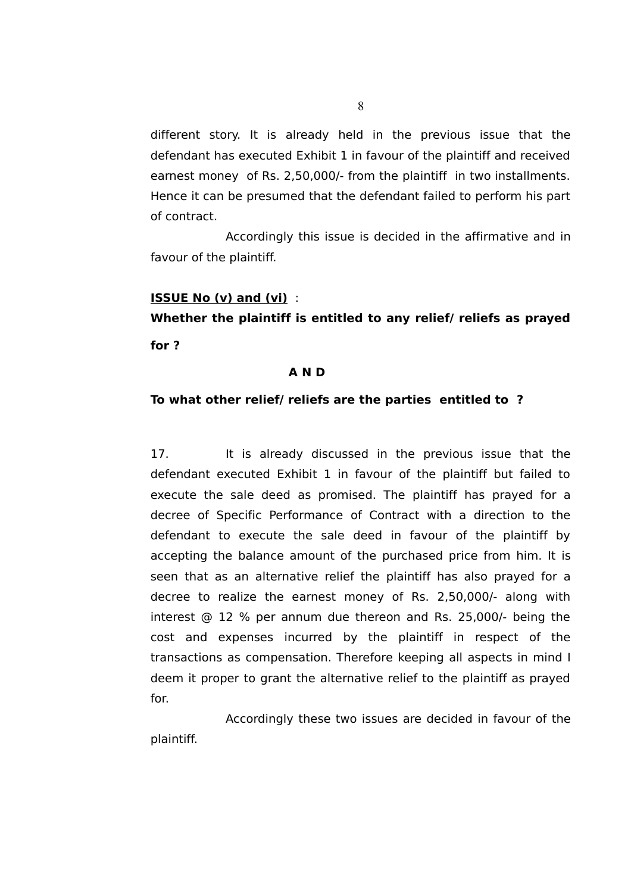different story. It is already held in the previous issue that the defendant has executed Exhibit 1 in favour of the plaintiff and received earnest money of Rs. 2,50,000/- from the plaintiff in two installments. Hence it can be presumed that the defendant failed to perform his part of contract.

Accordingly this issue is decided in the affirmative and in favour of the plaintiff.

#### **ISSUE No (v) and (vi)** :

**Whether the plaintiff is entitled to any relief/ reliefs as prayed for ?**

#### **A N D**

#### **To what other relief/ reliefs are the parties entitled to ?**

17. It is already discussed in the previous issue that the defendant executed Exhibit 1 in favour of the plaintiff but failed to execute the sale deed as promised. The plaintiff has prayed for a decree of Specific Performance of Contract with a direction to the defendant to execute the sale deed in favour of the plaintiff by accepting the balance amount of the purchased price from him. It is seen that as an alternative relief the plaintiff has also prayed for a decree to realize the earnest money of Rs. 2,50,000/- along with interest @ 12 % per annum due thereon and Rs. 25,000/- being the cost and expenses incurred by the plaintiff in respect of the transactions as compensation. Therefore keeping all aspects in mind I deem it proper to grant the alternative relief to the plaintiff as prayed for.

Accordingly these two issues are decided in favour of the plaintiff.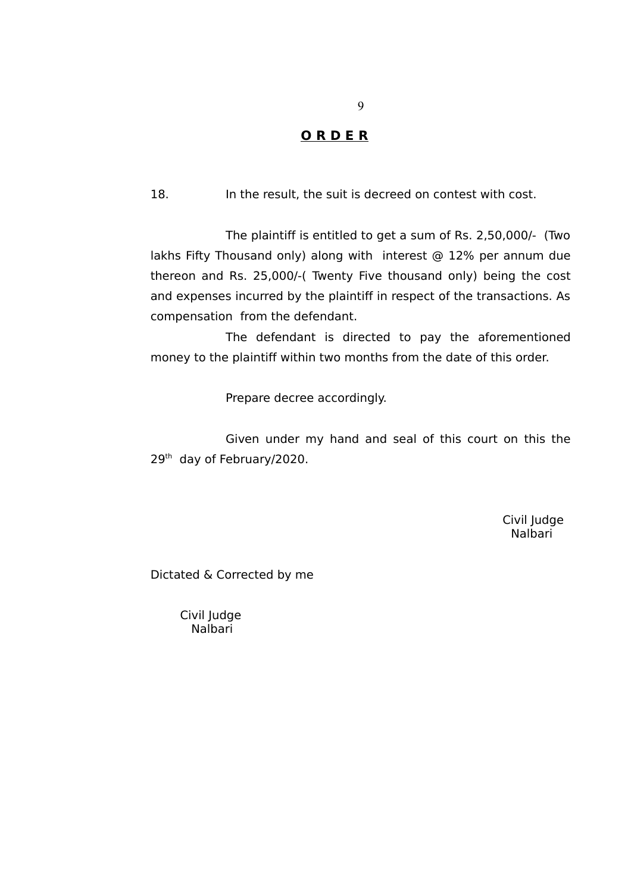# **O R D E R**

18. In the result, the suit is decreed on contest with cost.

The plaintiff is entitled to get a sum of Rs. 2,50,000/- (Two lakhs Fifty Thousand only) along with interest @ 12% per annum due thereon and Rs. 25,000/-( Twenty Five thousand only) being the cost and expenses incurred by the plaintiff in respect of the transactions. As compensation from the defendant.

The defendant is directed to pay the aforementioned money to the plaintiff within two months from the date of this order.

Prepare decree accordingly.

Given under my hand and seal of this court on this the 29<sup>th</sup> day of February/2020.

> Civil Judge Nalbari

Dictated & Corrected by me

 Civil Judge Nalbari